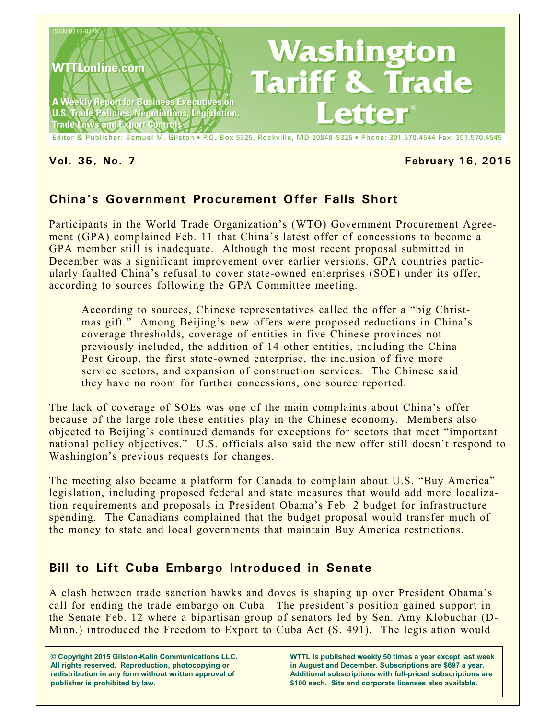

### **Vol. 35, No. 7 February 16, 2015**

# **China's Government Procurement Offer Falls Short**

Participants in the World Trade Organization's (WTO) Government Procurement Agreement (GPA) complained Feb. 11 that China's latest offer of concessions to become a GPA member still is inadequate. Although the most recent proposal submitted in December was a significant improvement over earlier versions, GPA countries particularly faulted China's refusal to cover state-owned enterprises (SOE) under its offer, according to sources following the GPA Committee meeting.

According to sources, Chinese representatives called the offer a "big Christmas gift." Among Beijing's new offers were proposed reductions in China's coverage thresholds, coverage of entities in five Chinese provinces not previously included, the addition of 14 other entities, including the China Post Group, the first state-owned enterprise, the inclusion of five more service sectors, and expansion of construction services. The Chinese said they have no room for further concessions, one source reported.

The lack of coverage of SOEs was one of the main complaints about China's offer because of the large role these entities play in the Chinese economy. Members also objected to Beijing's continued demands for exceptions for sectors that meet "important national policy objectives." U.S. officials also said the new offer still doesn't respond to Washington's previous requests for changes.

The meeting also became a platform for Canada to complain about U.S. "Buy America" legislation, including proposed federal and state measures that would add more localization requirements and proposals in President Obama's Feb. 2 budget for infrastructure spending. The Canadians complained that the budget proposal would transfer much of the money to state and local governments that maintain Buy America restrictions.

## **Bill to Lift Cuba Embargo Introduced in Senate**

A clash between trade sanction hawks and doves is shaping up over President Obama's call for ending the trade embargo on Cuba. The president's position gained support in the Senate Feb. 12 where a bipartisan group of senators led by Sen. Amy Klobuchar (D-Minn.) introduced the Freedom to Export to Cuba Act (S. 491). The legislation would

**© Copyright 2015 Gilston-Kalin Communications LLC. All rights reserved. Reproduction, photocopying or redistribution in any form without written approval of publisher is prohibited by law.** 

**WTTL is published weekly 50 times a year except last week in August and December. Subscriptions are \$697 a year. Additional subscriptions with full-priced subscriptions are \$100 each. Site and corporate licenses also available.**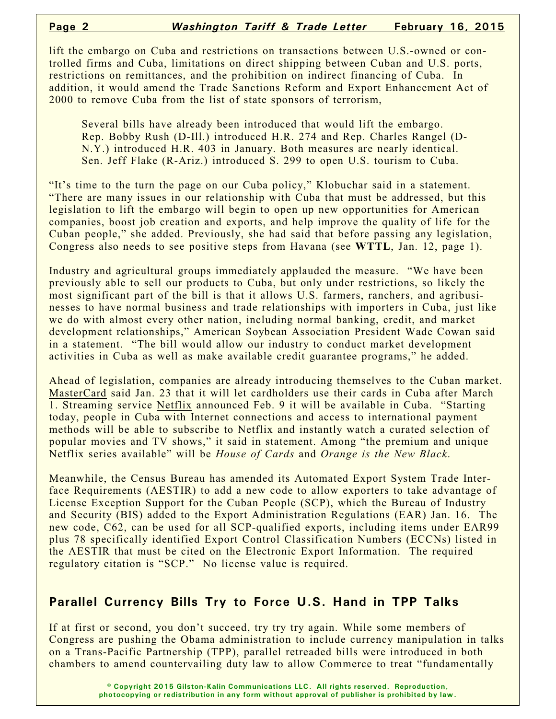lift the embargo on Cuba and restrictions on transactions between U.S.-owned or controlled firms and Cuba, limitations on direct shipping between Cuban and U.S. ports, restrictions on remittances, and the prohibition on indirect financing of Cuba. In addition, it would amend the Trade Sanctions Reform and Export Enhancement Act of 2000 to remove Cuba from the list of state sponsors of terrorism,

Several bills have already been introduced that would lift the embargo. Rep. Bobby Rush (D-Ill.) introduced H.R. 274 and Rep. Charles Rangel (D-N.Y.) introduced H.R. 403 in January. Both measures are nearly identical. Sen. Jeff Flake (R-Ariz.) introduced S. 299 to open U.S. tourism to Cuba.

"It's time to the turn the page on our Cuba policy," Klobuchar said in a statement. "There are many issues in our relationship with Cuba that must be addressed, but this legislation to lift the embargo will begin to open up new opportunities for American companies, boost job creation and exports, and help improve the quality of life for the Cuban people," she added. Previously, she had said that before passing any legislation, Congress also needs to see positive steps from Havana (see **WTTL**, Jan. 12, page 1).

Industry and agricultural groups immediately applauded the measure. "We have been previously able to sell our products to Cuba, but only under restrictions, so likely the most significant part of the bill is that it allows U.S. farmers, ranchers, and agribusinesses to have normal business and trade relationships with importers in Cuba, just like we do with almost every other nation, including normal banking, credit, and market development relationships," American Soybean Association President Wade Cowan said in a statement. "The bill would allow our industry to conduct market development activities in Cuba as well as make available credit guarantee programs," he added.

Ahead of legislation, companies are already introducing themselves to the Cuban market. MasterCard said Jan. 23 that it will let cardholders use their cards in Cuba after March 1. Streaming service Netflix announced Feb. 9 it will be available in Cuba. "Starting today, people in Cuba with Internet connections and access to international payment methods will be able to subscribe to Netflix and instantly watch a curated selection of popular movies and TV shows," it said in statement. Among "the premium and unique Netflix series available" will be *House of Cards* and *Orange is the New Black*.

Meanwhile, the Census Bureau has amended its Automated Export System Trade Interface Requirements (AESTIR) to add a new code to allow exporters to take advantage of License Exception Support for the Cuban People (SCP), which the Bureau of Industry and Security (BIS) added to the Export Administration Regulations (EAR) Jan. 16. The new code, C62, can be used for all SCP-qualified exports, including items under EAR99 plus 78 specifically identified Export Control Classification Numbers (ECCNs) listed in the AESTIR that must be cited on the Electronic Export Information. The required regulatory citation is "SCP." No license value is required.

## **Parallel Currency Bills Try to Force U.S. Hand in TPP Talks**

If at first or second, you don't succeed, try try try again. While some members of Congress are pushing the Obama administration to include currency manipulation in talks on a Trans-Pacific Partnership (TPP), parallel retreaded bills were introduced in both chambers to amend countervailing duty law to allow Commerce to treat "fundamentally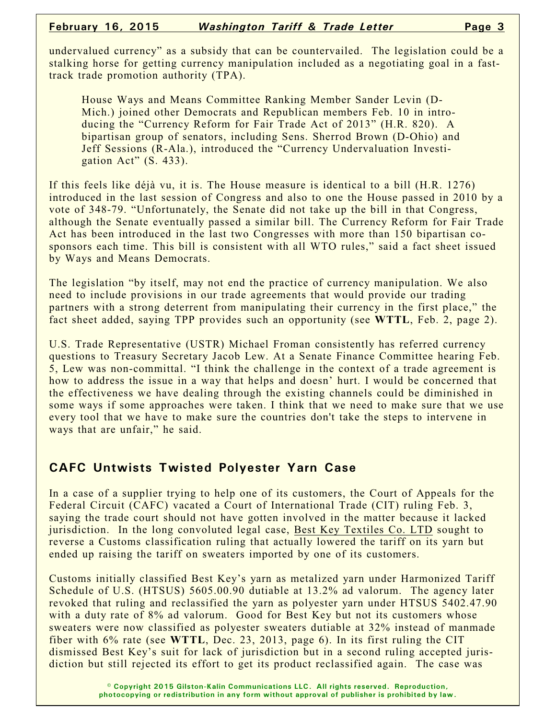undervalued currency" as a subsidy that can be countervailed. The legislation could be a stalking horse for getting currency manipulation included as a negotiating goal in a fasttrack trade promotion authority (TPA).

House Ways and Means Committee Ranking Member Sander Levin (D-Mich.) joined other Democrats and Republican members Feb. 10 in introducing the "Currency Reform for Fair Trade Act of 2013" (H.R. 820). A bipartisan group of senators, including Sens. Sherrod Brown (D-Ohio) and Jeff Sessions (R-Ala.), introduced the "Currency Undervaluation Investigation Act"  $(S. 433)$ .

If this feels like déjà vu, it is. The House measure is identical to a bill (H.R. 1276) introduced in the last session of Congress and also to one the House passed in 2010 by a vote of 348-79. "Unfortunately, the Senate did not take up the bill in that Congress, although the Senate eventually passed a similar bill. The Currency Reform for Fair Trade Act has been introduced in the last two Congresses with more than 150 bipartisan cosponsors each time. This bill is consistent with all WTO rules," said a fact sheet issued by Ways and Means Democrats.

The legislation "by itself, may not end the practice of currency manipulation. We also need to include provisions in our trade agreements that would provide our trading partners with a strong deterrent from manipulating their currency in the first place," the fact sheet added, saying TPP provides such an opportunity (see **WTTL**, Feb. 2, page 2).

U.S. Trade Representative (USTR) Michael Froman consistently has referred currency questions to Treasury Secretary Jacob Lew. At a Senate Finance Committee hearing Feb. 5, Lew was non-committal. "I think the challenge in the context of a trade agreement is how to address the issue in a way that helps and doesn' hurt. I would be concerned that the effectiveness we have dealing through the existing channels could be diminished in some ways if some approaches were taken. I think that we need to make sure that we use every tool that we have to make sure the countries don't take the steps to intervene in ways that are unfair," he said.

## **CAFC Untwists Twisted Polyester Yarn Case**

In a case of a supplier trying to help one of its customers, the Court of Appeals for the Federal Circuit (CAFC) vacated a Court of International Trade (CIT) ruling Feb. 3, saying the trade court should not have gotten involved in the matter because it lacked jurisdiction. In the long convoluted legal case, Best Key Textiles Co. LTD sought to reverse a Customs classification ruling that actually lowered the tariff on its yarn but ended up raising the tariff on sweaters imported by one of its customers.

Customs initially classified Best Key's yarn as metalized yarn under Harmonized Tariff Schedule of U.S. (HTSUS) 5605.00.90 dutiable at 13.2% ad valorum. The agency later revoked that ruling and reclassified the yarn as polyester yarn under HTSUS 5402.47.90 with a duty rate of 8% ad valorum. Good for Best Key but not its customers whose sweaters were now classified as polyester sweaters dutiable at 32% instead of manmade fiber with 6% rate (see **WTTL**, Dec. 23, 2013, page 6). In its first ruling the CIT dismissed Best Key's suit for lack of jurisdiction but in a second ruling accepted jurisdiction but still rejected its effort to get its product reclassified again. The case was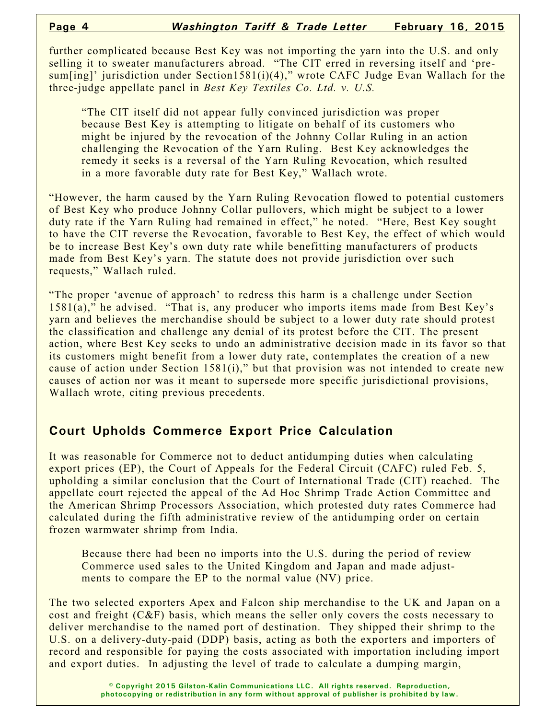further complicated because Best Key was not importing the yarn into the U.S. and only selling it to sweater manufacturers abroad. "The CIT erred in reversing itself and 'presum[ing]' jurisdiction under Section1581(i)(4)," wrote CAFC Judge Evan Wallach for the three-judge appellate panel in *Best Key Textiles Co. Ltd. v. U.S.*

"The CIT itself did not appear fully convinced jurisdiction was proper because Best Key is attempting to litigate on behalf of its customers who might be injured by the revocation of the Johnny Collar Ruling in an action challenging the Revocation of the Yarn Ruling. Best Key acknowledges the remedy it seeks is a reversal of the Yarn Ruling Revocation, which resulted in a more favorable duty rate for Best Key," Wallach wrote.

"However, the harm caused by the Yarn Ruling Revocation flowed to potential customers of Best Key who produce Johnny Collar pullovers, which might be subject to a lower duty rate if the Yarn Ruling had remained in effect," he noted. "Here, Best Key sought to have the CIT reverse the Revocation, favorable to Best Key, the effect of which would be to increase Best Key's own duty rate while benefitting manufacturers of products made from Best Key's yarn. The statute does not provide jurisdiction over such requests," Wallach ruled.

"The proper 'avenue of approach' to redress this harm is a challenge under Section 1581(a)," he advised. "That is, any producer who imports items made from Best Key's yarn and believes the merchandise should be subject to a lower duty rate should protest the classification and challenge any denial of its protest before the CIT. The present action, where Best Key seeks to undo an administrative decision made in its favor so that its customers might benefit from a lower duty rate, contemplates the creation of a new cause of action under Section 1581(i)," but that provision was not intended to create new causes of action nor was it meant to supersede more specific jurisdictional provisions, Wallach wrote, citing previous precedents.

## **Court Upholds Commerce Export Price Calculation**

It was reasonable for Commerce not to deduct antidumping duties when calculating export prices (EP), the Court of Appeals for the Federal Circuit (CAFC) ruled Feb. 5, upholding a similar conclusion that the Court of International Trade (CIT) reached. The appellate court rejected the appeal of the Ad Hoc Shrimp Trade Action Committee and the American Shrimp Processors Association, which protested duty rates Commerce had calculated during the fifth administrative review of the antidumping order on certain frozen warmwater shrimp from India.

Because there had been no imports into the U.S. during the period of review Commerce used sales to the United Kingdom and Japan and made adjustments to compare the EP to the normal value (NV) price.

The two selected exporters Apex and Falcon ship merchandise to the UK and Japan on a cost and freight (C&F) basis, which means the seller only covers the costs necessary to deliver merchandise to the named port of destination. They shipped their shrimp to the U.S. on a delivery-duty-paid (DDP) basis, acting as both the exporters and importers of record and responsible for paying the costs associated with importation including import and export duties. In adjusting the level of trade to calculate a dumping margin,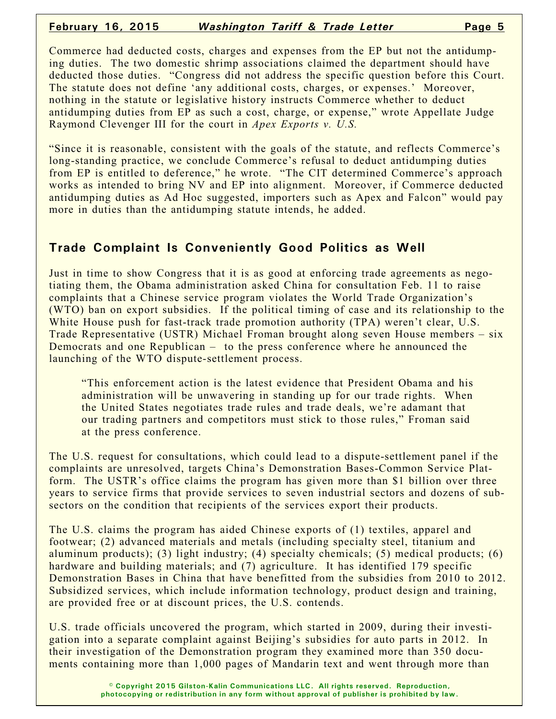#### **February 16, 2015** *Washington Tariff & Trade Letter* **Page 5**

Commerce had deducted costs, charges and expenses from the EP but not the antidumping duties. The two domestic shrimp associations claimed the department should have deducted those duties. "Congress did not address the specific question before this Court. The statute does not define 'any additional costs, charges, or expenses.' Moreover, nothing in the statute or legislative history instructs Commerce whether to deduct antidumping duties from EP as such a cost, charge, or expense," wrote Appellate Judge Raymond Clevenger III for the court in *Apex Exports v. U.S.*

"Since it is reasonable, consistent with the goals of the statute, and reflects Commerce's long-standing practice, we conclude Commerce's refusal to deduct antidumping duties from EP is entitled to deference," he wrote. "The CIT determined Commerce's approach works as intended to bring NV and EP into alignment. Moreover, if Commerce deducted antidumping duties as Ad Hoc suggested, importers such as Apex and Falcon" would pay more in duties than the antidumping statute intends, he added.

## **Trade Complaint Is Conveniently Good Politics as Well**

Just in time to show Congress that it is as good at enforcing trade agreements as negotiating them, the Obama administration asked China for consultation Feb. 11 to raise complaints that a Chinese service program violates the World Trade Organization's (WTO) ban on export subsidies. If the political timing of case and its relationship to the White House push for fast-track trade promotion authority (TPA) weren't clear, U.S. Trade Representative (USTR) Michael Froman brought along seven House members – six Democrats and one Republican – to the press conference where he announced the launching of the WTO dispute-settlement process.

"This enforcement action is the latest evidence that President Obama and his administration will be unwavering in standing up for our trade rights. When the United States negotiates trade rules and trade deals, we're adamant that our trading partners and competitors must stick to those rules," Froman said at the press conference.

The U.S. request for consultations, which could lead to a dispute-settlement panel if the complaints are unresolved, targets China's Demonstration Bases-Common Service Platform. The USTR's office claims the program has given more than \$1 billion over three years to service firms that provide services to seven industrial sectors and dozens of subsectors on the condition that recipients of the services export their products.

The U.S. claims the program has aided Chinese exports of (1) textiles, apparel and footwear; (2) advanced materials and metals (including specialty steel, titanium and aluminum products); (3) light industry; (4) specialty chemicals; (5) medical products; (6) hardware and building materials; and (7) agriculture. It has identified 179 specific Demonstration Bases in China that have benefitted from the subsidies from 2010 to 2012. Subsidized services, which include information technology, product design and training, are provided free or at discount prices, the U.S. contends.

U.S. trade officials uncovered the program, which started in 2009, during their investigation into a separate complaint against Beijing's subsidies for auto parts in 2012. In their investigation of the Demonstration program they examined more than 350 documents containing more than 1,000 pages of Mandarin text and went through more than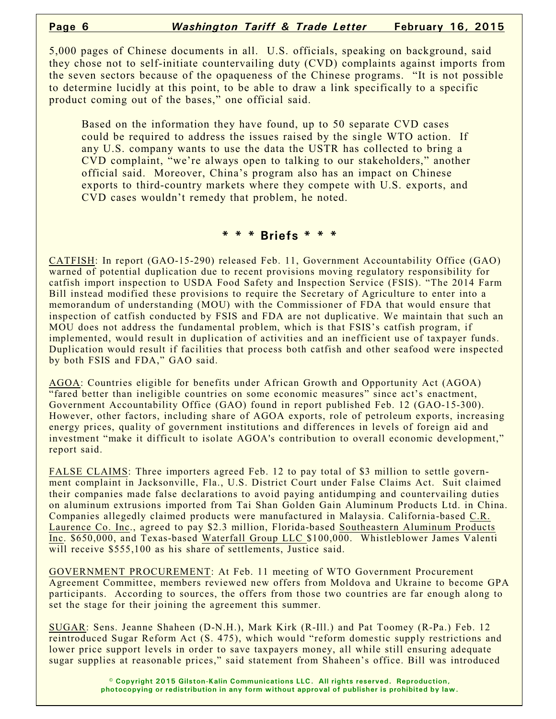5,000 pages of Chinese documents in all. U.S. officials, speaking on background, said they chose not to self-initiate countervailing duty (CVD) complaints against imports from the seven sectors because of the opaqueness of the Chinese programs. "It is not possible to determine lucidly at this point, to be able to draw a link specifically to a specific product coming out of the bases," one official said.

Based on the information they have found, up to 50 separate CVD cases could be required to address the issues raised by the single WTO action. If any U.S. company wants to use the data the USTR has collected to bring a CVD complaint, "we're always open to talking to our stakeholders," another official said. Moreover, China's program also has an impact on Chinese exports to third-country markets where they compete with U.S. exports, and CVD cases wouldn't remedy that problem, he noted.

#### **\* \* \* Briefs \* \* \***

CATFISH: In report (GAO-15-290) released Feb. 11, Government Accountability Office (GAO) warned of potential duplication due to recent provisions moving regulatory responsibility for catfish import inspection to USDA Food Safety and Inspection Service (FSIS). "The 2014 Farm Bill instead modified these provisions to require the Secretary of Agriculture to enter into a memorandum of understanding (MOU) with the Commissioner of FDA that would ensure that inspection of catfish conducted by FSIS and FDA are not duplicative. We maintain that such an MOU does not address the fundamental problem, which is that FSIS's catfish program, if implemented, would result in duplication of activities and an inefficient use of taxpayer funds. Duplication would result if facilities that process both catfish and other seafood were inspected by both FSIS and FDA," GAO said.

AGOA: Countries eligible for benefits under African Growth and Opportunity Act (AGOA) "fared better than ineligible countries on some economic measures" since act's enactment, Government Accountability Office (GAO) found in report published Feb. 12 (GAO-15-300). However, other factors, including share of AGOA exports, role of petroleum exports, increasing energy prices, quality of government institutions and differences in levels of foreign aid and investment "make it difficult to isolate AGOA's contribution to overall economic development," report said.

FALSE CLAIMS: Three importers agreed Feb. 12 to pay total of \$3 million to settle government complaint in Jacksonville, Fla., U.S. District Court under False Claims Act. Suit claimed their companies made false declarations to avoid paying antidumping and countervailing duties on aluminum extrusions imported from Tai Shan Golden Gain Aluminum Products Ltd. in China. Companies allegedly claimed products were manufactured in Malaysia. California-based C.R. Laurence Co. Inc., agreed to pay \$2.3 million, Florida-based Southeastern Aluminum Products Inc. \$650,000, and Texas-based Waterfall Group LLC \$100,000. Whistleblower James Valenti will receive \$555,100 as his share of settlements, Justice said.

GOVERNMENT PROCUREMENT: At Feb. 11 meeting of WTO Government Procurement Agreement Committee, members reviewed new offers from Moldova and Ukraine to become GPA participants. According to sources, the offers from those two countries are far enough along to set the stage for their joining the agreement this summer.

SUGAR: Sens. Jeanne Shaheen (D-N.H.), Mark Kirk (R-Ill.) and Pat Toomey (R-Pa.) Feb. 12 reintroduced Sugar Reform Act (S. 475), which would "reform domestic supply restrictions and lower price support levels in order to save taxpayers money, all while still ensuring adequate sugar supplies at reasonable prices," said statement from Shaheen's office. Bill was introduced

> **© Copyright 2015 Gilston-Kalin Communications LLC. All rights reserved. Reproduction, photocopying or redistribution in any form without approval of publisher is prohibited by law.**